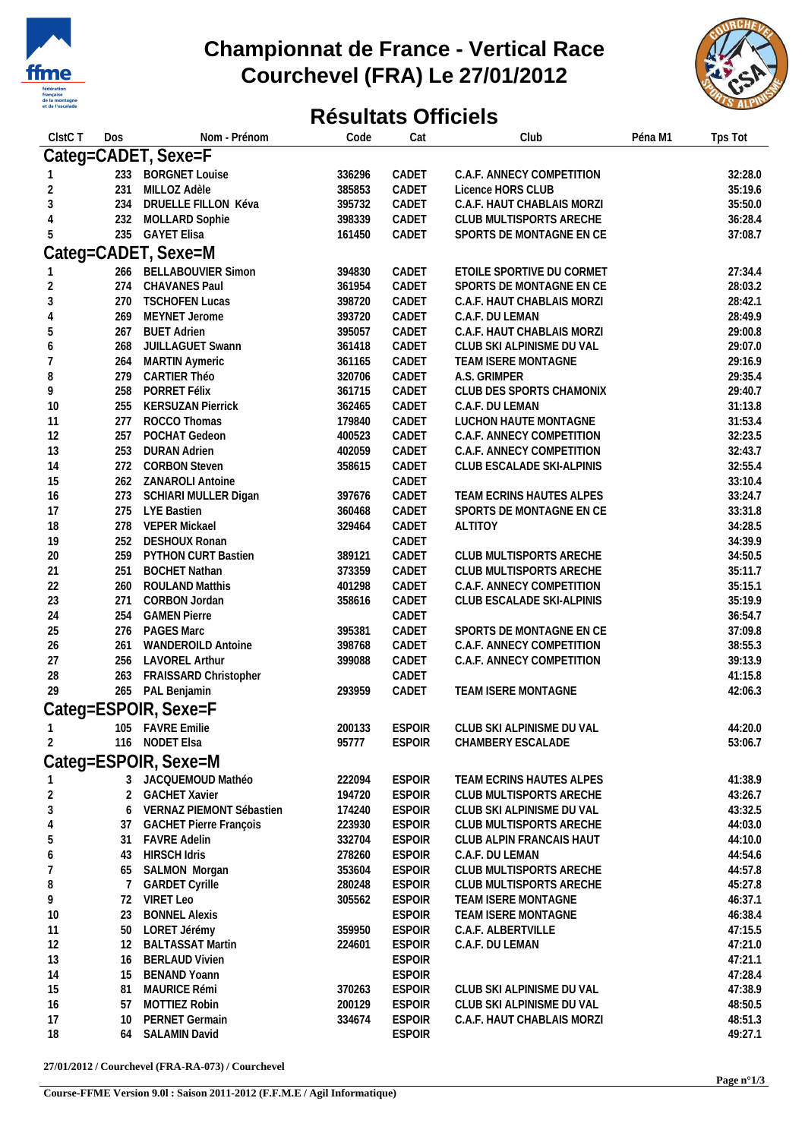

## **Championnat de France - Vertical Race Courchevel (FRA) Le 27/01/2012**



## **Résultats Officiels**

| ClstC <sub>T</sub> | Dos             | Nom - Prénom                  | Code   | Cat           | Club                       | Péna M1 | Tps Tot |
|--------------------|-----------------|-------------------------------|--------|---------------|----------------------------|---------|---------|
|                    |                 | Categ=CADET, Sexe=F           |        |               |                            |         |         |
|                    | 233             | <b>BORGNET Louise</b>         | 336296 | CADET         | C.A.F. ANNECY COMPETITION  |         | 32:28.0 |
| 2                  | 231             | MILLOZ Adèle                  | 385853 | CADET         | Licence HORS CLUB          |         | 35:19.6 |
| 3                  | 234             | DRUELLE FILLON Kéva           | 395732 | CADET         | C.A.F. HAUT CHABLAIS MORZI |         | 35:50.0 |
| 4                  | 232             | MOLLARD Sophie                | 398339 | CADET         | CLUB MULTISPORTS ARECHE    |         | 36:28.4 |
| 5                  | 235             | <b>GAYET Elisa</b>            | 161450 | CADET         | SPORTS DE MONTAGNE EN CE   |         | 37:08.7 |
|                    |                 |                               |        |               |                            |         |         |
|                    |                 | Categ=CADET, Sexe=M           |        |               |                            |         |         |
|                    |                 | 266 BELLABOUVIER Simon        | 394830 | CADET         | ETOILE SPORTIVE DU CORMET  |         | 27:34.4 |
| 2                  | 274             | CHAVANES Paul                 | 361954 | CADET         | SPORTS DE MONTAGNE EN CE   |         | 28:03.2 |
| 3                  | 270             | <b>TSCHOFEN Lucas</b>         | 398720 | CADET         | C.A.F. HAUT CHABLAIS MORZI |         | 28:42.1 |
| 4                  | 269             | MEYNET Jerome                 | 393720 | CADET         | C.A.F. DU LEMAN            |         | 28:49.9 |
| 5                  | 267             | <b>BUET Adrien</b>            | 395057 | CADET         | C.A.F. HAUT CHABLAIS MORZI |         | 29:00.8 |
| 6                  | 268             | JUILLAGUET Swann              | 361418 | CADET         | CLUB SKI ALPINISME DU VAL  |         | 29:07.0 |
| 7                  | 264             | <b>MARTIN Aymeric</b>         | 361165 | CADET         | TEAM ISERE MONTAGNE        |         | 29:16.9 |
| 8                  | 279             | CARTIER Théo                  | 320706 | CADET         | A.S. GRIMPER               |         | 29:35.4 |
| 9                  | 258             | PORRET Félix                  | 361715 | CADET         | CLUB DES SPORTS CHAMONIX   |         | 29:40.7 |
| 10                 | 255             | <b>KERSUZAN Pierrick</b>      | 362465 | CADET         | C.A.F. DU LEMAN            |         | 31:13.8 |
| 11                 | 277             | ROCCO Thomas                  | 179840 | CADET         | LUCHON HAUTE MONTAGNE      |         | 31:53.4 |
| 12                 | 257             | POCHAT Gedeon                 | 400523 | CADET         | C.A.F. ANNECY COMPETITION  |         | 32:23.5 |
| 13                 | 253             | <b>DURAN Adrien</b>           | 402059 | CADET         | C.A.F. ANNECY COMPETITION  |         | 32:43.7 |
| 14                 | 272             | <b>CORBON Steven</b>          | 358615 | CADET         | CLUB ESCALADE SKI-ALPINIS  |         | 32:55.4 |
| 15                 | 262             | ZANAROLI Antoine              |        | CADET         |                            |         | 33:10.4 |
| 16                 | 273             | SCHIARI MULLER Digan          | 397676 | CADET         | TEAM ECRINS HAUTES ALPES   |         | 33:24.7 |
| 17                 | 275             | LYE Bastien                   | 360468 | CADET         | SPORTS DE MONTAGNE EN CE   |         | 33:31.8 |
| 18                 | 278             | <b>VEPER Mickael</b>          | 329464 | CADET         | <b>ALTITOY</b>             |         | 34:28.5 |
| 19                 | 252             | <b>DESHOUX Ronan</b>          |        | CADET         |                            |         | 34:39.9 |
| 20                 | 259             | PYTHON CURT Bastien           | 389121 | CADET         | CLUB MULTISPORTS ARECHE    |         | 34:50.5 |
| 21                 | 251             | <b>BOCHET Nathan</b>          | 373359 | CADET         | CLUB MULTISPORTS ARECHE    |         | 35:11.7 |
| 22                 | 260             | <b>ROULAND Matthis</b>        | 401298 | CADET         | C.A.F. ANNECY COMPETITION  |         | 35:15.1 |
| 23                 | 271             | CORBON Jordan                 | 358616 | CADET         | CLUB ESCALADE SKI-ALPINIS  |         | 35:19.9 |
| 24                 | 254             | <b>GAMEN Pierre</b>           |        | CADET         |                            |         | 36:54.7 |
| 25                 | 276             | PAGES Marc                    | 395381 | CADET         | SPORTS DE MONTAGNE EN CE   |         | 37:09.8 |
| 26                 | 261             | <b>WANDEROILD Antoine</b>     | 398768 | CADET         | C.A.F. ANNECY COMPETITION  |         | 38:55.3 |
| 27                 | 256             | <b>LAVOREL Arthur</b>         | 399088 | CADET         | C.A.F. ANNECY COMPETITION  |         | 39:13.9 |
| 28                 | 263             | FRAISSARD Christopher         |        | CADET         |                            |         | 41:15.8 |
| 29                 |                 | 265 PAL Benjamin              | 293959 | CADET         | TEAM ISERE MONTAGNE        |         | 42:06.3 |
|                    |                 | Categ=ESPOIR, Sexe=F          |        |               |                            |         |         |
|                    |                 |                               |        |               |                            |         |         |
|                    |                 | 105 FAVRE Emilie              | 200133 | <b>ESPOIR</b> | CLUB SKI ALPINISME DU VAL  |         | 44:20.0 |
| 2                  |                 | 116 NODET Elsa                | 95777  | <b>ESPOIR</b> | CHAMBERY ESCALADE          |         | 53:06.7 |
|                    |                 | Categ=ESPOIR, Sexe=M          |        |               |                            |         |         |
|                    |                 | 3 JACQUEMOUD Mathéo           | 222094 | <b>ESPOIR</b> | TEAM ECRINS HAUTES ALPES   |         | 41:38.9 |
| 2                  | 2               | <b>GACHET Xavier</b>          | 194720 | <b>ESPOIR</b> | CLUB MULTISPORTS ARECHE    |         | 43:26.7 |
| 3                  | 6               | VERNAZ PIEMONT Sébastien      | 174240 | <b>ESPOIR</b> | CLUB SKI ALPINISME DU VAL  |         | 43:32.5 |
| 4                  | 37              | <b>GACHET Pierre François</b> | 223930 | <b>ESPOIR</b> | CLUB MULTISPORTS ARECHE    |         | 44:03.0 |
| 5                  | 31              | <b>FAVRE Adelin</b>           | 332704 | <b>ESPOIR</b> | CLUB ALPIN FRANCAIS HAUT   |         | 44:10.0 |
| 6                  | 43              | <b>HIRSCH Idris</b>           | 278260 | <b>ESPOIR</b> | C.A.F. DU LEMAN            |         | 44:54.6 |
|                    | 65              | SALMON Morgan                 | 353604 | <b>ESPOIR</b> | CLUB MULTISPORTS ARECHE    |         | 44:57.8 |
| 8                  | 7               | <b>GARDET Cyrille</b>         | 280248 | <b>ESPOIR</b> | CLUB MULTISPORTS ARECHE    |         | 45:27.8 |
| 9                  | 72              | VIRET Leo                     | 305562 | <b>ESPOIR</b> | TEAM ISERE MONTAGNE        |         | 46:37.1 |
| 10                 | 23              | <b>BONNEL Alexis</b>          |        | <b>ESPOIR</b> | TEAM ISERE MONTAGNE        |         | 46:38.4 |
| 11                 | 50              | LORET Jérémy                  | 359950 | <b>ESPOIR</b> | C.A.F. ALBERTVILLE         |         | 47:15.5 |
| 12                 | 12              | <b>BALTASSAT Martin</b>       | 224601 | <b>ESPOIR</b> | C.A.F. DU LEMAN            |         | 47:21.0 |
| 13                 | 16              | <b>BERLAUD Vivien</b>         |        | <b>ESPOIR</b> |                            |         | 47:21.1 |
| 14                 | 15              | <b>BENAND Yoann</b>           |        | <b>ESPOIR</b> |                            |         | 47:28.4 |
| 15                 | 81              | MAURICE Rémi                  | 370263 | <b>ESPOIR</b> | CLUB SKI ALPINISME DU VAL  |         | 47:38.9 |
| 16                 | 57              | MOTTIEZ Robin                 | 200129 | <b>ESPOIR</b> | CLUB SKI ALPINISME DU VAL  |         | 48:50.5 |
| 17                 | 10 <sup>°</sup> | PERNET Germain                | 334674 | <b>ESPOIR</b> | C.A.F. HAUT CHABLAIS MORZI |         | 48:51.3 |
| 18                 | 64              | SALAMIN David                 |        | <b>ESPOIR</b> |                            |         | 49:27.1 |
|                    |                 |                               |        |               |                            |         |         |

**27/01/2012 / Courchevel (FRA-RA-073) / Courchevel**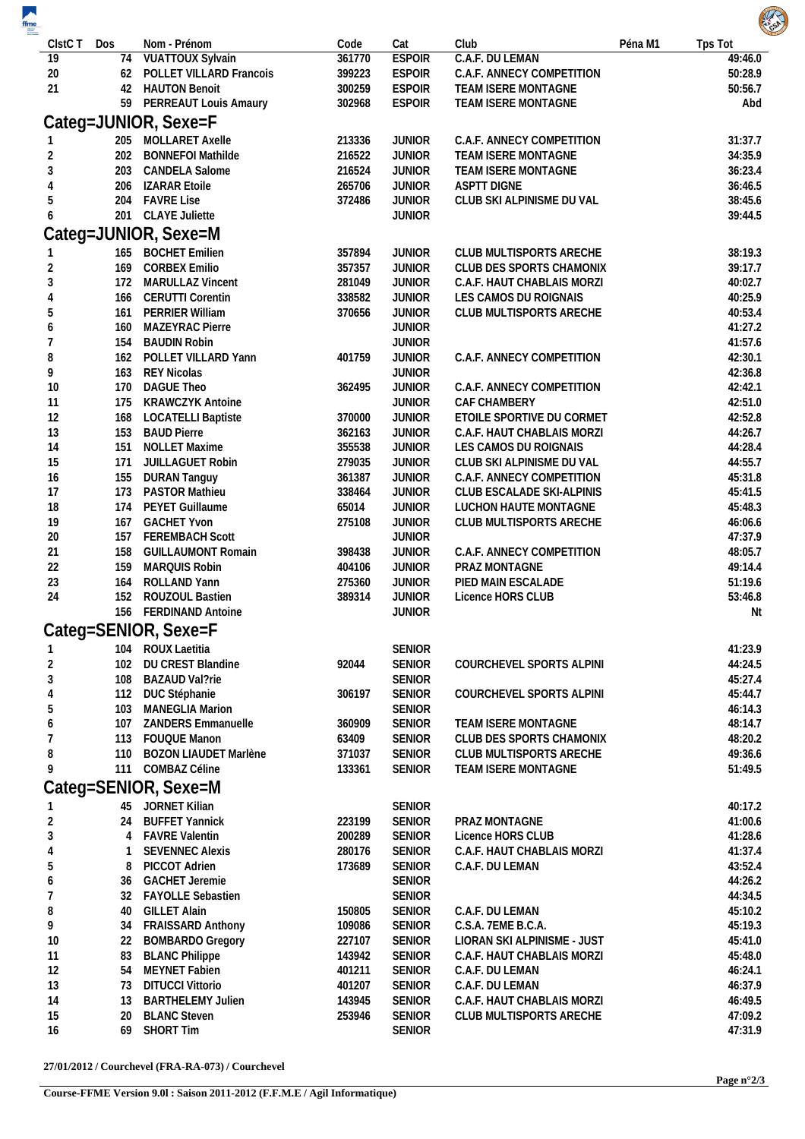| $\overline{\phantom{a}}$<br>$\frac{f$ |            |                                            |                  |                                |                                       |         | <b>RATION</b>      |
|---------------------------------------|------------|--------------------------------------------|------------------|--------------------------------|---------------------------------------|---------|--------------------|
| CIstC T                               | Dos        | Nom - Prénom                               | Code             | Cat                            | Club                                  | Péna M1 | Tps Tot            |
| 19                                    | 74         | <b>VUATTOUX Sylvain</b>                    | 361770           | <b>ESPOIR</b>                  | C.A.F. DU LEMAN                       |         | 49:46.0            |
| 20                                    | 62         | POLLET VILLARD Francois                    | 399223           | <b>ESPOIR</b>                  | C.A.F. ANNECY COMPETITION             |         | 50:28.9            |
| 21                                    | 42         | <b>HAUTON Benoit</b>                       | 300259           | <b>ESPOIR</b>                  | TEAM ISERE MONTAGNE                   |         | 50:56.7            |
|                                       | 59         | PERREAUT Louis Amaury                      | 302968           | <b>ESPOIR</b>                  | TEAM ISERE MONTAGNE                   |         | Abd                |
|                                       |            | Categ=JUNIOR, Sexe=F                       |                  |                                |                                       |         |                    |
|                                       |            | 205 MOLLARET Axelle                        | 213336           | <b>JUNIOR</b>                  | C.A.F. ANNECY COMPETITION             |         | 31:37.7            |
| $\overline{2}$                        | 202        | <b>BONNEFOI Mathilde</b>                   | 216522           | <b>JUNIOR</b>                  | TEAM ISERE MONTAGNE                   |         | 34:35.9            |
| 3                                     | 203        | <b>CANDELA Salome</b>                      | 216524           | <b>JUNIOR</b>                  | TEAM ISERE MONTAGNE                   |         | 36:23.4            |
| 4                                     | 206        | <b>IZARAR Etoile</b>                       | 265706           | <b>JUNIOR</b>                  | <b>ASPTT DIGNE</b>                    |         | 36:46.5            |
| 5                                     | 204        | <b>FAVRE Lise</b>                          | 372486           | <b>JUNIOR</b>                  | CLUB SKI ALPINISME DU VAL             |         | 38:45.6            |
| 6                                     | 201        | <b>CLAYE Juliette</b>                      |                  | <b>JUNIOR</b>                  |                                       |         | 39:44.5            |
|                                       |            | Categ=JUNIOR, Sexe=M                       |                  |                                |                                       |         |                    |
|                                       |            | 165 BOCHET Emilien                         | 357894           | <b>JUNIOR</b>                  | CLUB MULTISPORTS ARECHE               |         | 38:19.3            |
| $\overline{2}$                        | 169        | <b>CORBEX Emilio</b>                       | 357357           | <b>JUNIOR</b>                  | CLUB DES SPORTS CHAMONIX              |         | 39:17.7            |
| 3                                     | 172        | <b>MARULLAZ Vincent</b>                    | 281049           | <b>JUNIOR</b>                  | C.A.F. HAUT CHABLAIS MORZI            |         | 40:02.7            |
| 4                                     | 166        | <b>CERUTTI Corentin</b>                    | 338582           | <b>JUNIOR</b>                  | LES CAMOS DU ROIGNAIS                 |         | 40:25.9            |
| 5                                     | 161        | PERRIER William                            | 370656           | <b>JUNIOR</b>                  | CLUB MULTISPORTS ARECHE               |         | 40:53.4            |
| 6                                     | 160        | <b>MAZEYRAC Pierre</b>                     |                  | <b>JUNIOR</b>                  |                                       |         | 41:27.2            |
| 7<br>8                                | 154<br>162 | <b>BAUDIN Robin</b><br>POLLET VILLARD Yann | 401759           | <b>JUNIOR</b><br><b>JUNIOR</b> | C.A.F. ANNECY COMPETITION             |         | 41:57.6<br>42:30.1 |
| 9                                     | 163        | <b>REY Nicolas</b>                         |                  | <b>JUNIOR</b>                  |                                       |         | 42:36.8            |
| 10                                    | 170        | <b>DAGUE Theo</b>                          | 362495           | <b>JUNIOR</b>                  | C.A.F. ANNECY COMPETITION             |         | 42:42.1            |
| 11                                    | 175        | <b>KRAWCZYK Antoine</b>                    |                  | <b>JUNIOR</b>                  | CAF CHAMBERY                          |         | 42:51.0            |
| 12                                    | 168        | <b>LOCATELLI Baptiste</b>                  | 370000           | <b>JUNIOR</b>                  | ETOILE SPORTIVE DU CORMET             |         | 42:52.8            |
| 13                                    | 153        | <b>BAUD Pierre</b>                         | 362163           | <b>JUNIOR</b>                  | C.A.F. HAUT CHABLAIS MORZI            |         | 44:26.7            |
| 14                                    | 151        | <b>NOLLET Maxime</b>                       | 355538           | <b>JUNIOR</b>                  | LES CAMOS DU ROIGNAIS                 |         | 44:28.4            |
| 15                                    | 171        | JUILLAGUET Robin                           | 279035           | <b>JUNIOR</b>                  | CLUB SKI ALPINISME DU VAL             |         | 44:55.7            |
| 16                                    | 155        | <b>DURAN Tanguy</b>                        | 361387           | <b>JUNIOR</b>                  | C.A.F. ANNECY COMPETITION             |         | 45:31.8            |
| 17                                    | 173        | <b>PASTOR Mathieu</b>                      | 338464           | <b>JUNIOR</b>                  | CLUB ESCALADE SKI-ALPINIS             |         | 45:41.5            |
| 18                                    | 174        | PEYET Guillaume                            | 65014            | <b>JUNIOR</b>                  | LUCHON HAUTE MONTAGNE                 |         | 45:48.3            |
| 19<br>20                              | 167<br>157 | <b>GACHET Yvon</b><br>FEREMBACH Scott      | 275108           | <b>JUNIOR</b><br><b>JUNIOR</b> | CLUB MULTISPORTS ARECHE               |         | 46:06.6<br>47:37.9 |
| 21                                    | 158        | <b>GUILLAUMONT Romain</b>                  | 398438           | <b>JUNIOR</b>                  | C.A.F. ANNECY COMPETITION             |         | 48:05.7            |
| 22                                    | 159        | MARQUIS Robin                              | 404106           | <b>JUNIOR</b>                  | PRAZ MONTAGNE                         |         | 49:14.4            |
| 23                                    | 164        | ROLLAND Yann                               | 275360           | <b>JUNIOR</b>                  | PIED MAIN ESCALADE                    |         | 51:19.6            |
| 24                                    | 152        | ROUZOUL Bastien                            | 389314           | <b>JUNIOR</b>                  | Licence HORS CLUB                     |         | 53:46.8            |
|                                       |            | 156 FERDINAND Antoine                      |                  | <b>JUNIOR</b>                  |                                       |         | Nt                 |
|                                       |            | Categ=SENIOR, Sexe=F                       |                  |                                |                                       |         |                    |
|                                       |            | 104 ROUX Laetitia                          |                  | <b>SENIOR</b>                  |                                       |         | 41:23.9            |
| $\overline{2}$                        | 102        | DU CREST Blandine                          | 92044            | <b>SENIOR</b>                  | COURCHEVEL SPORTS ALPINI              |         | 44:24.5            |
| 3                                     | 108        | BAZAUD Val?rie                             |                  | <b>SENIOR</b>                  |                                       |         | 45:27.4            |
| 4                                     | 112        | DUC Stéphanie                              | 306197           | SENIOR                         | COURCHEVEL SPORTS ALPINI              |         | 45:44.7            |
| 5                                     | 103        | <b>MANEGLIA Marion</b>                     |                  | <b>SENIOR</b>                  |                                       |         | 46:14.3            |
| 6                                     | 107        | <b>ZANDERS Emmanuelle</b>                  | 360909           | SENIOR                         | TEAM ISERE MONTAGNE                   |         | 48:14.7            |
| 7                                     | 113        | <b>FOUQUE Manon</b>                        | 63409            | SENIOR                         | CLUB DES SPORTS CHAMONIX              |         | 48:20.2            |
| 8                                     | 110        | <b>BOZON LIAUDET Marlène</b>               | 371037           | SENIOR                         | CLUB MULTISPORTS ARECHE               |         | 49:36.6            |
| 9                                     | 111        | COMBAZ Céline                              | 133361           | SENIOR                         | TEAM ISERE MONTAGNE                   |         | 51:49.5            |
|                                       |            | Categ=SENIOR, Sexe=M                       |                  |                                |                                       |         |                    |
|                                       |            | 45 JORNET Kilian                           |                  | SENIOR                         |                                       |         | 40:17.2            |
| $\overline{2}$                        | 24         | <b>BUFFET Yannick</b>                      | 223199           | SENIOR                         | PRAZ MONTAGNE                         |         | 41:00.6            |
| 3                                     | 4          | <b>FAVRE Valentin</b>                      | 200289           | SENIOR                         | Licence HORS CLUB                     |         | 41:28.6            |
| 4                                     | 1          | <b>SEVENNEC Alexis</b>                     | 280176           | <b>SENIOR</b>                  | C.A.F. HAUT CHABLAIS MORZI            |         | 41:37.4            |
| 5                                     | 8          | PICCOT Adrien                              | 173689           | SENIOR                         | C.A.F. DU LEMAN                       |         | 43:52.4            |
| 6                                     | 36         | <b>GACHET Jeremie</b>                      |                  | SENIOR                         |                                       |         | 44:26.2            |
| 7                                     | 32         | FAYOLLE Sebastien                          |                  | <b>SENIOR</b>                  |                                       |         | 44:34.5            |
| 8<br>9                                | 40         | <b>GILLET Alain</b><br>FRAISSARD Anthony   | 150805           | <b>SENIOR</b><br>SENIOR        | C.A.F. DU LEMAN<br>C.S.A. 7EME B.C.A. |         | 45:10.2<br>45:19.3 |
| 10                                    | 34<br>22   | <b>BOMBARDO Gregory</b>                    | 109086<br>227107 | <b>SENIOR</b>                  | LIORAN SKI ALPINISME - JUST           |         | 45:41.0            |
| 11                                    | 83         | <b>BLANC Philippe</b>                      | 143942           | SENIOR                         | C.A.F. HAUT CHABLAIS MORZI            |         | 45:48.0            |
| 12                                    | 54         | MEYNET Fabien                              | 401211           | SENIOR                         | C.A.F. DU LEMAN                       |         | 46:24.1            |
| 13                                    | 73         | <b>DITUCCI Vittorio</b>                    | 401207           | SENIOR                         | C.A.F. DU LEMAN                       |         | 46:37.9            |
| 14                                    | 13         | <b>BARTHELEMY Julien</b>                   | 143945           | SENIOR                         | C.A.F. HAUT CHABLAIS MORZI            |         | 46:49.5            |
| 15                                    | 20         | <b>BLANC Steven</b>                        | 253946           | SENIOR                         | CLUB MULTISPORTS ARECHE               |         | 47:09.2            |
| 16                                    | 69         | SHORT Tim                                  |                  | <b>SENIOR</b>                  |                                       |         | 47:31.9            |

 $27/01/2012$  / Courchevel (FRA-RA-073) / Courchevel